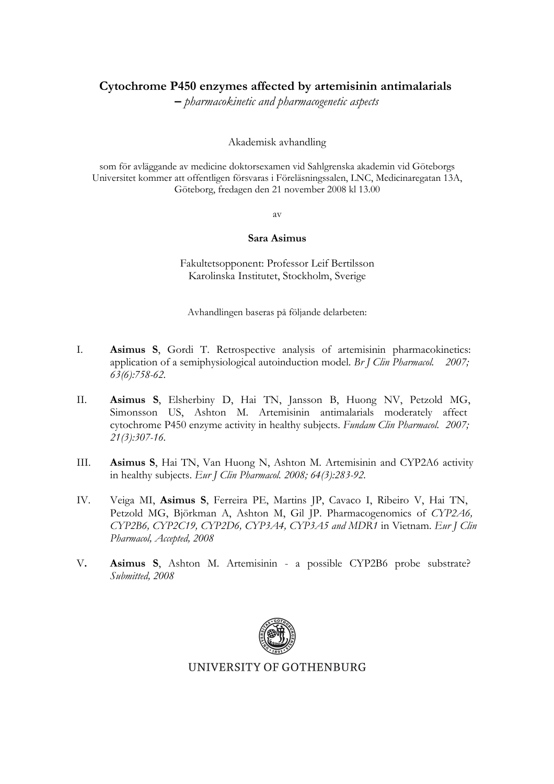## **Cytochrome P450 enzymes affected by artemisinin antimalarials**

**–** *pharmacokinetic and pharmacogenetic aspects*

Akademisk avhandling

som för avläggande av medicine doktorsexamen vid Sahlgrenska akademin vid Göteborgs Universitet kommer att offentligen försvaras i Föreläsningssalen, LNC, Medicinaregatan 13A, Göteborg, fredagen den 21 november 2008 kl 13.00

av

#### **Sara Asimus**

Fakultetsopponent: Professor Leif Bertilsson Karolinska Institutet, Stockholm, Sverige

Avhandlingen baseras på följande delarbeten:

- I. **Asimus S**, Gordi T. Retrospective analysis of artemisinin pharmacokinetics: application of a semiphysiological autoinduction model. *Br J Clin Pharmacol. 2007; 63(6):758-62.*
- II. **Asimus S**, Elsherbiny D, Hai TN, Jansson B, Huong NV, Petzold MG, Simonsson US, Ashton M. Artemisinin antimalarials moderately affect cytochrome P450 enzyme activity in healthy subjects. *Fundam Clin Pharmacol. 2007; 21(3):307-16.*
- III. **Asimus S**, Hai TN, Van Huong N, Ashton M. Artemisinin and CYP2A6 activity in healthy subjects. *Eur J Clin Pharmacol. 2008; 64(3):283-92.*
- IV. Veiga MI, **Asimus S**, Ferreira PE, Martins JP, Cavaco I, Ribeiro V, Hai TN, Petzold MG, Björkman A, Ashton M, Gil JP. Pharmacogenomics of *CYP2A6, CYP2B6, CYP2C19, CYP2D6, CYP3A4, CYP3A5 and MDR1* in Vietnam. *Eur J Clin Pharmacol, Accepted, 2008*
- V**. Asimus S**, Ashton M. Artemisinin a possible CYP2B6 probe substrate? *Submitted, 2008*



### UNIVERSITY OF GOTHENBURG